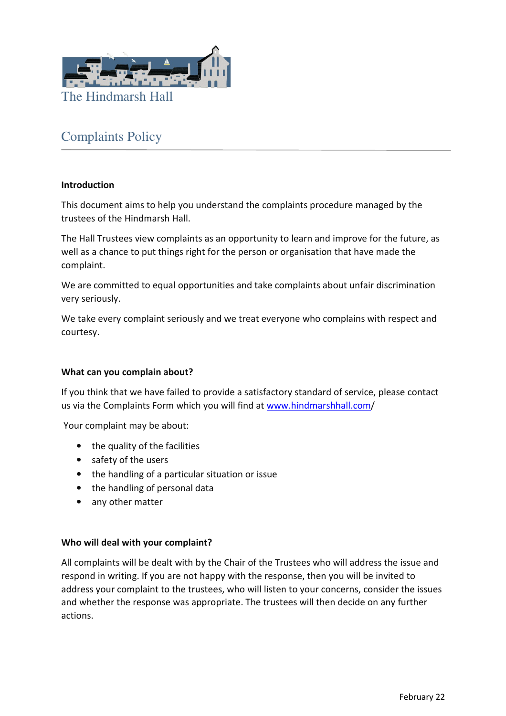

# Complaints Policy

## **Introduction**

This document aims to help you understand the complaints procedure managed by the trustees of the Hindmarsh Hall.

The Hall Trustees view complaints as an opportunity to learn and improve for the future, as well as a chance to put things right for the person or organisation that have made the complaint.

We are committed to equal opportunities and take complaints about unfair discrimination very seriously.

We take every complaint seriously and we treat everyone who complains with respect and courtesy.

#### **What can you complain about?**

If you think that we have failed to provide a satisfactory standard of service, please contact us via the Complaints Form which you will find at www.hindmarshhall.com/

Your complaint may be about:

- the quality of the facilities
- safety of the users
- the handling of a particular situation or issue
- the handling of personal data
- any other matter

#### **Who will deal with your complaint?**

All complaints will be dealt with by the Chair of the Trustees who will address the issue and respond in writing. If you are not happy with the response, then you will be invited to address your complaint to the trustees, who will listen to your concerns, consider the issues and whether the response was appropriate. The trustees will then decide on any further actions.